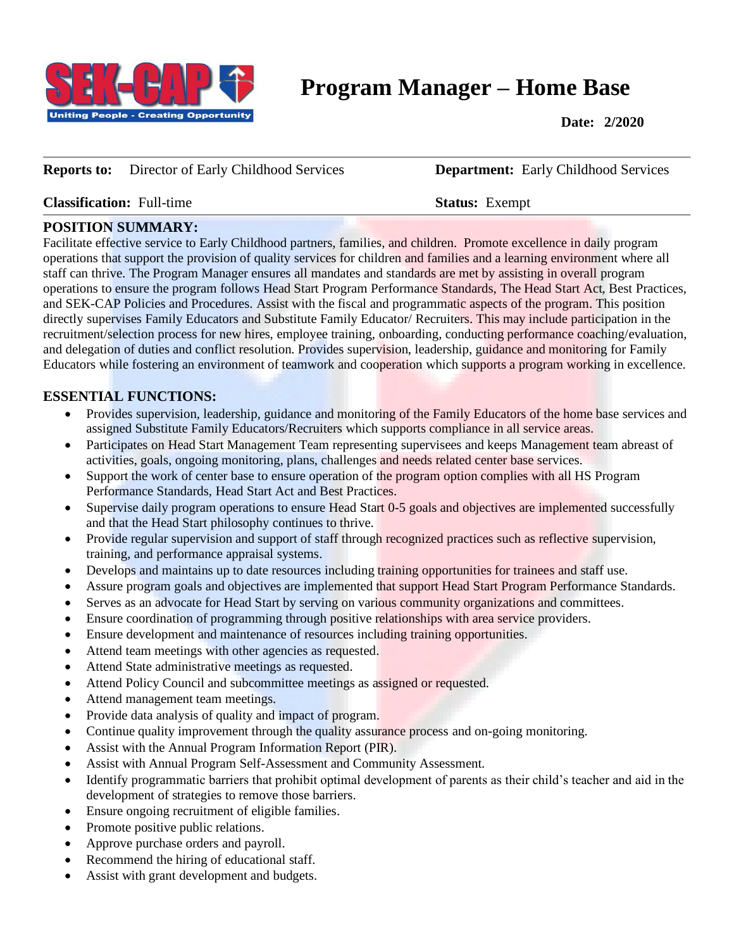

# **Program Manager – Home Base**

**Date: 2/2020**

| <b>Reports to:</b> Director of Early Childhood Services | <b>Department:</b> Early Childhood Services |  |
|---------------------------------------------------------|---------------------------------------------|--|
|                                                         |                                             |  |

**Classification:** Full-time **Status:** Exempt

### **POSITION SUMMARY:**

Facilitate effective service to Early Childhood partners, families, and children. Promote excellence in daily program operations that support the provision of quality services for children and families and a learning environment where all staff can thrive. The Program Manager ensures all mandates and standards are met by assisting in overall program operations to ensure the program follows Head Start Program Performance Standards, The Head Start Act, Best Practices, and SEK-CAP Policies and Procedures. Assist with the fiscal and programmatic aspects of the program. This position directly supervises Family Educators and Substitute Family Educator/ Recruiters. This may include participation in the recruitment/selection process for new hires, employee training, onboarding, conducting performance coaching/evaluation, and delegation of duties and conflict resolution. Provides supervision, leadership, guidance and monitoring for Family Educators while fostering an environment of teamwork and cooperation which supports a program working in excellence.

# **ESSENTIAL FUNCTIONS:**

- Provides supervision, leadership, guidance and monitoring of the Family Educators of the home base services and assigned Substitute Family Educators/Recruiters which supports compliance in all service areas.
- Participates on Head Start Management Team representing supervisees and keeps Management team abreast of activities, goals, ongoing monitoring, plans, challenges and needs related center base services.
- Support the work of center base to ensure operation of the program option complies with all HS Program Performance Standards, Head Start Act and Best Practices.
- Supervise daily program operations to ensure Head Start 0-5 goals and objectives are implemented successfully and that the Head Start philosophy continues to thrive.
- Provide regular supervision and support of staff through recognized practices such as reflective supervision, training, and performance appraisal systems.
- Develops and maintains up to date resources including training opportunities for trainees and staff use.
- Assure program goals and objectives are implemented that support Head Start Program Performance Standards.
- Serves as an advocate for Head Start by serving on various community organizations and committees.
- Ensure coordination of programming through positive relationships with area service providers.
- Ensure development and maintenance of resources including training opportunities.
- Attend team meetings with other agencies as requested.
- Attend State administrative meetings as requested.
- Attend Policy Council and subcommittee meetings as assigned or requested.
- Attend management team meetings.
- Provide data analysis of quality and impact of program.
- Continue quality improvement through the quality assurance process and on-going monitoring.
- Assist with the Annual Program Information Report (PIR).
- Assist with Annual Program Self-Assessment and Community Assessment.
- Identify programmatic barriers that prohibit optimal development of parents as their child's teacher and aid in the development of strategies to remove those barriers.
- Ensure ongoing recruitment of eligible families.
- Promote positive public relations.
- Approve purchase orders and payroll.
- Recommend the hiring of educational staff.
- Assist with grant development and budgets.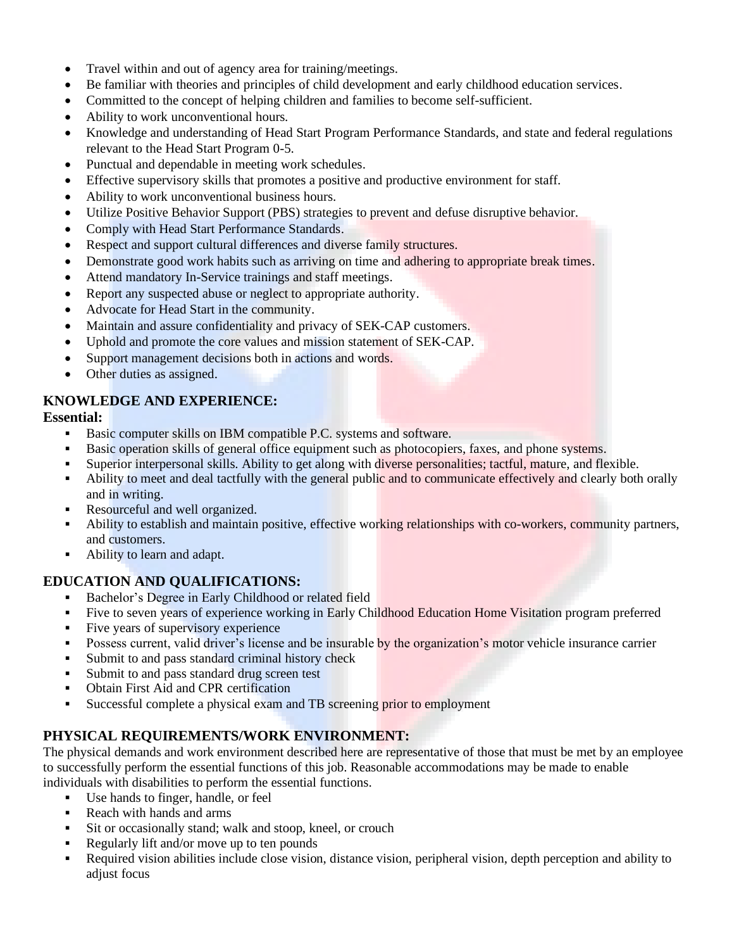- Travel within and out of agency area for training/meetings.
- Be familiar with theories and principles of child development and early childhood education services.
- Committed to the concept of helping children and families to become self-sufficient.
- Ability to work unconventional hours.
- Knowledge and understanding of Head Start Program Performance Standards, and state and federal regulations relevant to the Head Start Program 0-5.
- Punctual and dependable in meeting work schedules.
- Effective supervisory skills that promotes a positive and productive environment for staff.
- Ability to work unconventional business hours.
- Utilize Positive Behavior Support (PBS) strategies to prevent and defuse disruptive behavior.
- Comply with Head Start Performance Standards.
- Respect and support cultural differences and diverse family structures.
- Demonstrate good work habits such as arriving on time and adhering to appropriate break times.
- Attend mandatory In-Service trainings and staff meetings.
- Report any suspected abuse or neglect to appropriate authority.
- Advocate for Head Start in the community.
- Maintain and assure confidentiality and privacy of SEK-CAP customers.
- Uphold and promote the core values and mission statement of SEK-CAP.
- Support management decisions both in actions and words.
- Other duties as assigned.

# **KNOWLEDGE AND EXPERIENCE:**

#### **Essential:**

- Basic computer skills on IBM compatible P.C. systems and software.
- Basic operation skills of general office equipment such as photocopiers, faxes, and phone systems.
- Superior interpersonal skills. Ability to get along with diverse personalities; tactful, mature, and flexible.
- Ability to meet and deal tactfully with the general public and to communicate effectively and clearly both orally and in writing.
- Resourceful and well organized.
- Ability to establish and maintain positive, effective working relationships with co-workers, community partners, and customers.
- Ability to learn and adapt.

#### **EDUCATION AND QUALIFICATIONS:**

- **EXECUTE:** Bachelor's Degree in Early Childhood or related field
- **Exercise 1** Five to seven years of experience working in Early Childhood Education Home Visitation program preferred
- Five years of supervisory experience
- Possess current, valid driver's license and be insurable by the organization's motor vehicle insurance carrier
- Submit to and pass standard criminal history check
- Submit to and pass standard drug screen test
- Obtain First Aid and CPR certification
- Successful complete a physical exam and TB screening prior to employment

# **PHYSICAL REQUIREMENTS/WORK ENVIRONMENT:**

The physical demands and work environment described here are representative of those that must be met by an employee to successfully perform the essential functions of this job. Reasonable accommodations may be made to enable individuals with disabilities to perform the essential functions.

- Use hands to finger, handle, or feel
- Reach with hands and arms
- Sit or occasionally stand; walk and stoop, kneel, or crouch
- Regularly lift and/or move up to ten pounds
- Required vision abilities include close vision, distance vision, peripheral vision, depth perception and ability to adjust focus